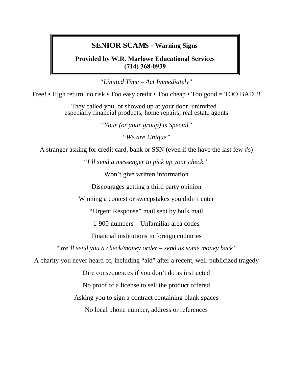### **SENIOR SCAMS - Warning Signs**

**Provided by W.R. Marlowe Educational Services (714) 368-0939**

"*Limited Time – Act Immediately*"

Free! • High return, no risk • Too easy credit • Too cheap • Too good = TOO BAD!!!

They called you, or showed up at your door, uninvited – especially financial products, home repairs, real estate agents

*"Your (or your group) is Special"*

*"We are Unique"* 

A stranger asking for credit card, bank or SSN (even if the have the last few #s)

"*I'll send a messenger to pick up your check."*

Won't give written information

Discourages getting a third party opinion

Winning a contest or sweepstakes you didn't enter

"Urgent Response" mail sent by bulk mail

1-900 numbers – Unfamiliar area codes

Financial institutions in foreign countries

*"We'll send you a check/money order – send us some money back"* 

A charity you never heard of, including "aid" after a recent, well-publicized tragedy

Dire consequences if you don't do as instructed

No proof of a license to sell the product offered

Asking you to sign a contract containing blank spaces

No local phone number, address or references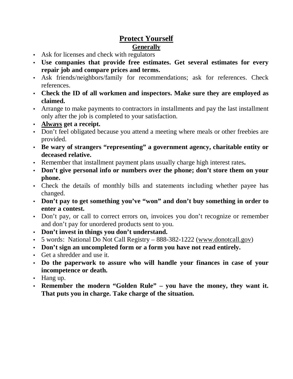# **Protect Yourself Generally**

- Ask for licenses and check with regulators
- **Use companies that provide free estimates. Get several estimates for every repair job and compare prices and terms.**
- Ask friends/neighbors/family for recommendations; ask for references. Check references.
- **Check the ID of all workmen and inspectors. Make sure they are employed as claimed.**
- Arrange to make payments to contractors in installments and pay the last installment only after the job is completed to your satisfaction.
- **Always get a receipt.**
- Don't feel obligated because you attend a meeting where meals or other freebies are provided.
- **Be wary of strangers "representing" a government agency, charitable entity or deceased relative.**
- Remember that installment payment plans usually charge high interest rates**.**
- **Don't give personal info or numbers over the phone; don't store them on your phone.**
- Check the details of monthly bills and statements including whether payee has changed.
- **Don't pay to get something you've "won" and don't buy something in order to enter a contest.**
- Don't pay, or call to correct errors on, invoices you don't recognize or remember and don't pay for unordered products sent to you.
- **Don't invest in things you don't understand.**
- 5 words: National Do Not Call Registry 888-382-1222 (www.donotcall.gov)
- **Don't sign an uncompleted form or a form you have not read entirely.**
- Get a shredder and use it.
- **Do the paperwork to assure who will handle your finances in case of your incompetence or death.**
- Hang up.
- **Remember the modern "Golden Rule" you have the money, they want it. That puts you in charge. Take charge of the situation.**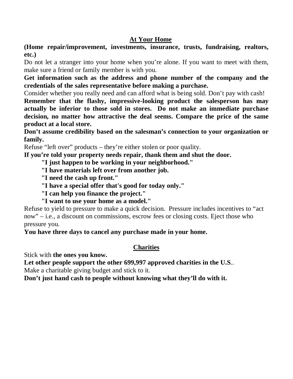## **At Your Home**

**(Home repair/improvement, investments, insurance, trusts, fundraising, realtors, etc.)** 

Do not let a stranger into your home when you're alone. If you want to meet with them, make sure a friend or family member is with you.

**Get information such as the address and phone number of the company and the credentials of the sales representative before making a purchase.** 

Consider whether you really need and can afford what is being sold. Don't pay with cash!

**Remember that the flashy, impressive-looking product the salesperson has may actually be inferior to those sold in stores. Do not make an immediate purchase decision, no matter how attractive the deal seems. Compare the price of the same product at a local store.** 

**Don't assume credibility based on the salesman's connection to your organization or family.** 

Refuse "left over" products – they're either stolen or poor quality.

**If you're told your property needs repair, thank them and shut the door.** 

 **"I just happen to be working in your neighborhood."** 

 **"I have materials left over from another job.** 

 **"I need the cash up front."** 

 **"I have a special offer that's good for today only."** 

 **"I can help you finance the project."** 

 **"I want to use your home as a model."** 

Refuse to yield to pressure to make a quick decision. Pressure includes incentives to "act now" – i.e., a discount on commissions, escrow fees or closing costs. Eject those who pressure you.

**You have three days to cancel any purchase made in your home.**

#### **Charities**

Stick with **the ones you know.** 

**Let other people support the other 699,997 approved charities in the U.S**..

Make a charitable giving budget and stick to it.

**Don't just hand cash to people without knowing what they'll do with it.**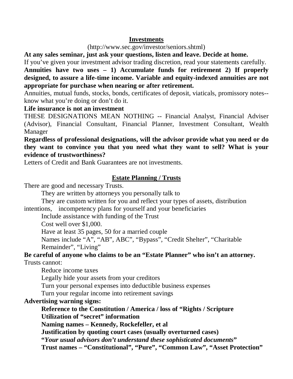#### **Investments**

#### (http://www.sec.gov/investor/seniors.shtml)

**At any sales seminar, just ask your questions, listen and leave. Decide at home.** 

If you've given your investment advisor trading discretion, read your statements carefully.

**Annuities have two uses – 1) Accumulate funds for retirement 2) If properly designed, to assure a life-time income. Variable and equity-indexed annuities are not appropriate for purchase when nearing or after retirement.**

Annuities, mutual funds, stocks, bonds, certificates of deposit, viaticals, promissory notes- know what you're doing or don't do it.

#### **Life insurance is not an investment**

THESE DESIGNATIONS MEAN NOTHING -- Financial Analyst, Financial Adviser (Advisor), Financial Consultant, Financial Planner, Investment Consultant, Wealth Manager

#### **Regardless of professional designations, will the advisor provide what you need or do they want to convince you that you need what they want to sell? What is your evidence of trustworthiness?**

Letters of Credit and Bank Guarantees are not investments.

### **Estate Planning / Trusts**

There are good and necessary Trusts.

They are written by attorneys you personally talk to

 They are custom written for you and reflect your types of assets, distribution intentions, incompetency plans for yourself and your beneficiaries

Include assistance with funding of the Trust

Cost well over \$1,000.

Have at least 35 pages, 50 for a married couple

 Names include "A", "AB", ABC", "Bypass", "Credit Shelter", "Charitable Remainder", "Living"

## **Be careful of anyone who claims to be an "Estate Planner" who isn't an attorney.** Trusts cannot:

Reduce income taxes

Legally hide your assets from your creditors

Turn your personal expenses into deductible business expenses

Turn your regular income into retirement savings

# **Advertising warning signs:**

 **Reference to the Constitution / America / loss of "Rights / Scripture Utilization of "secret" information** 

 **Naming names – Kennedy, Rockefeller, et al** 

 **Justification by quoting court cases (usually overturned cases)** 

 **"***Your usual advisors don't understand these sophisticated documents***"** 

**Trust names – "Constitutional", "Pure", "Common Law", "Asset Protection"**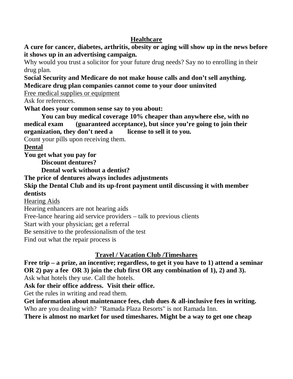# **Healthcare**

**A cure for cancer, diabetes, arthritis, obesity or aging will show up in the news before it shows up in an advertising campaign.** 

Why would you trust a solicitor for your future drug needs? Say no to enrolling in their drug plan.

**Social Security and Medicare do not make house calls and don't sell anything. Medicare drug plan companies cannot come to your door uninvited** 

Free medical supplies or equipment

Ask for references.

**What does your common sense say to you about:** 

 **You can buy medical coverage 10% cheaper than anywhere else, with no medical exam (guaranteed acceptance), but since you're going to join their organization, they don't need a license to sell it to you.** 

Count your pills upon receiving them.

**Dental** 

**You get what you pay for** 

 **Discount dentures?** 

 **Dental work without a dentist?** 

**The price of dentures always includes adjustments** 

**Skip the Dental Club and its up-front payment until discussing it with member dentists** 

Hearing Aids

Hearing enhancers are not hearing aids

Free-lance hearing aid service providers – talk to previous clients

Start with your physician; get a referral

Be sensitive to the professionalism of the test

Find out what the repair process is

# **Travel / Vacation Club /Timeshares**

**Free trip – a prize, an incentive; regardless, to get it you have to 1) attend a seminar OR 2) pay a fee OR 3) join the club first OR any combination of 1), 2) and 3).** 

Ask what hotels they use. Call the hotels.

**Ask for their office address. Visit their office.** 

Get the rules in writing and read them.

**Get information about maintenance fees, club dues & all-inclusive fees in writing.**  Who are you dealing with? "Ramada Plaza Resorts" is not Ramada Inn.

**There is almost no market for used timeshares. Might be a way to get one cheap**